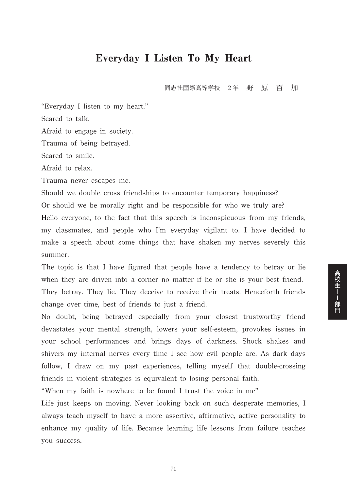## Everyday I Listen To My Heart

同志社国際高等学校 2年 野 原 百 加

高校生--部門

"Everyday I listen to my heart."

Scared to talk.

Afraid to engage in society.

Trauma of being betrayed.

Scared to smile.

Afraid to relax.

Trauma never escapes me.

Should we double cross friendships to encounter temporary happiness? Or should we be morally right and be responsible for who we truly are? Hello everyone, to the fact that this speech is inconspicuous from my friends, my classmates, and people who I'm everyday vigilant to. I have decided to make a speech about some things that have shaken my nerves severely this summer.

The topic is that I have figured that people have a tendency to betray or lie when they are driven into a corner no matter if he or she is your best friend. They betray. They lie. They deceive to receive their treats. Henceforth friends change over time, best of friends to just a friend.

No doubt, being betrayed especially from your closest trustworthy friend devastates your mental strength, lowers your self-esteem, provokes issues in your school performances and brings days of darkness. Shock shakes and shivers my internal nerves every time I see how evil people are. As dark days follow, I draw on my past experiences, telling myself that double-crossing friends in violent strategies is equivalent to losing personal faith.

"When my faith is nowhere to be found I trust the voice in me"

Life just keeps on moving. Never looking back on such desperate memories, I always teach myself to have a more assertive, affirmative, active personality to enhance my quality of life. Because learning life lessons from failure teaches you success.

71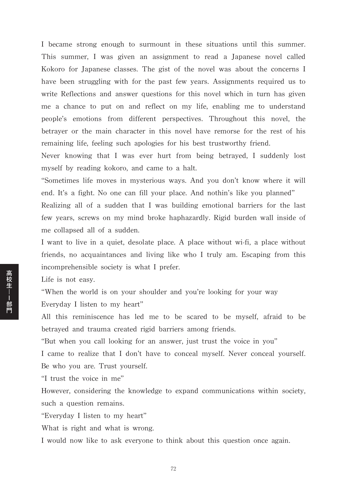I became strong enough to surmount in these situations until this summer. This summer, I was given an assignment to read a Japanese novel called Kokoro for Japanese classes. The gist of the novel was about the concerns I have been struggling with for the past few years. Assignments required us to write Reflections and answer questions for this novel which in turn has given me a chance to put on and reflect on my life, enabling me to understand people's emotions from different perspectives. Throughout this novel, the betrayer or the main character in this novel have remorse for the rest of his remaining life, feeling such apologies for his best trustworthy friend.

Never knowing that I was ever hurt from being betrayed, I suddenly lost myself by reading kokoro, and came to a halt.

"Sometimes life moves in mysterious ways. And you don't know where it will end. It's a fight. No one can fill your place. And nothin's like you planned" Realizing all of a sudden that I was building emotional barriers for the last few years, screws on my mind broke haphazardly. Rigid burden wall inside of me collapsed all of a sudden.

I want to live in a quiet, desolate place. A place without wi-fi, a place without friends, no acquaintances and living like who I truly am. Escaping from this incomprehensible society is what I prefer.

Life is not easy.

"When the world is on your shoulder and you're looking for your way Everyday I listen to my heart"

All this reminiscence has led me to be scared to be myself, afraid to be betrayed and trauma created rigid barriers among friends.

"But when you call looking for an answer, just trust the voice in you"

I came to realize that I don't have to conceal myself. Never conceal yourself. Be who you are. Trust yourself.

"I trust the voice in me"

However, considering the knowledge to expand communications within society, such a question remains.

"Everyday I listen to my heart"

What is right and what is wrong.

I would now like to ask everyone to think about this question once again.